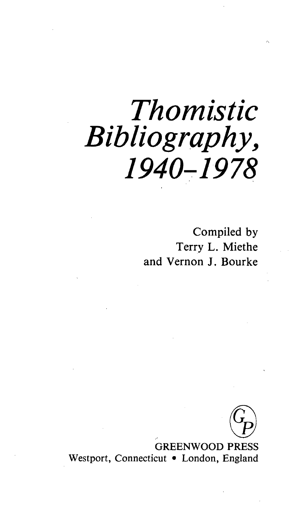## *Thomistic Bibliography, 1940-1978*

Compiled by Terry L. Miethe and Vernon J. Bourke

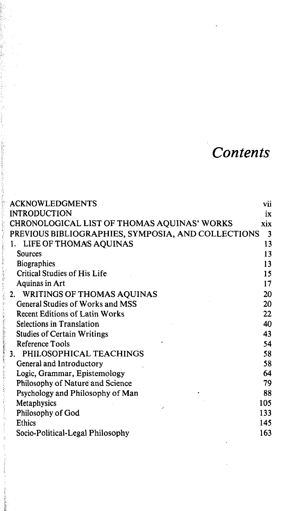## *Contents*

| <b>ACKNOWLEDGMENTS</b>                             | VÌÌ                     |
|----------------------------------------------------|-------------------------|
| <b>INTRODUCTION</b>                                | ix                      |
| CHRONOLOGICAL LIST OF THOMAS AQUINAS' WORKS        | xix                     |
| PREVIOUS BIBLIOGRAPHIES, SYMPOSIA, AND COLLECTIONS | $\overline{\mathbf{3}}$ |
| LIFE OF THOMAS AQUINAS<br>1.                       | 13                      |
| Sources                                            | 13                      |
| <b>Biographies</b>                                 | 13                      |
| Critical Studies of His Life                       | 15                      |
| Aquinas in Art                                     | 17                      |
| 2. WRITINGS OF THOMAS AQUINAS                      | 20                      |
| General Studies of Works and MSS                   | 20                      |
| <b>Recent Editions of Latin Works</b>              | 22                      |
| Selections in Translation                          | 40                      |
| <b>Studies of Certain Writings</b>                 | 43                      |
| Reference Tools                                    | 54                      |
| PHILOSOPHICAL TEACHINGS<br>3.                      | 58                      |
| General and Introductory                           | 58                      |
| Logic, Grammar, Epistemology                       | 64                      |
| Philosophy of Nature and Science                   | 79                      |
| Psychology and Philosophy of Man                   | 88                      |
| Metaphysics<br>é.                                  | 105                     |
| Philosophy of God                                  | 133                     |
| Ethics                                             | 145                     |
| Socio-Political-Legal Philosophy                   | 163                     |